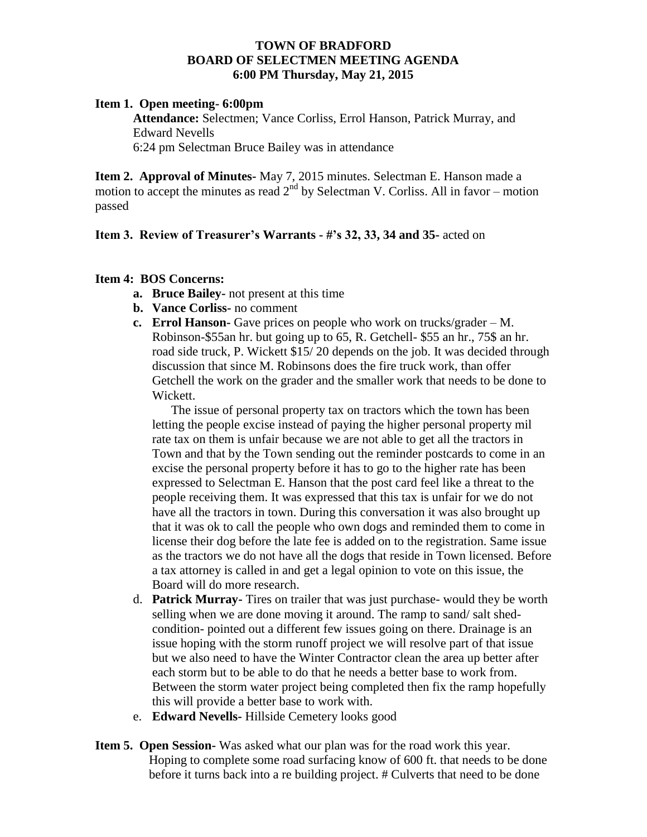## **TOWN OF BRADFORD BOARD OF SELECTMEN MEETING AGENDA 6:00 PM Thursday, May 21, 2015**

#### **Item 1. Open meeting- 6:00pm**

**Attendance:** Selectmen; Vance Corliss, Errol Hanson, Patrick Murray, and Edward Nevells 6:24 pm Selectman Bruce Bailey was in attendance

**Item 2. Approval of Minutes-** May 7, 2015 minutes. Selectman E. Hanson made a motion to accept the minutes as read  $2^{nd}$  by Selectman V. Corliss. All in favor – motion passed

### **Item 3. Review of Treasurer's Warrants - #'s 32, 33, 34 and 35-** acted on

### **Item 4: BOS Concerns:**

- **a. Bruce Bailey-** not present at this time
- **b. Vance Corliss-** no comment
- **c. Errol Hanson-** Gave prices on people who work on trucks/grader M. Robinson-\$55an hr. but going up to 65, R. Getchell- \$55 an hr., 75\$ an hr. road side truck, P. Wickett \$15/ 20 depends on the job. It was decided through discussion that since M. Robinsons does the fire truck work, than offer Getchell the work on the grader and the smaller work that needs to be done to Wickett.

The issue of personal property tax on tractors which the town has been letting the people excise instead of paying the higher personal property mil rate tax on them is unfair because we are not able to get all the tractors in Town and that by the Town sending out the reminder postcards to come in an excise the personal property before it has to go to the higher rate has been expressed to Selectman E. Hanson that the post card feel like a threat to the people receiving them. It was expressed that this tax is unfair for we do not have all the tractors in town. During this conversation it was also brought up that it was ok to call the people who own dogs and reminded them to come in license their dog before the late fee is added on to the registration. Same issue as the tractors we do not have all the dogs that reside in Town licensed. Before a tax attorney is called in and get a legal opinion to vote on this issue, the Board will do more research.

- d. **Patrick Murray-** Tires on trailer that was just purchase- would they be worth selling when we are done moving it around. The ramp to sand/ salt shedcondition- pointed out a different few issues going on there. Drainage is an issue hoping with the storm runoff project we will resolve part of that issue but we also need to have the Winter Contractor clean the area up better after each storm but to be able to do that he needs a better base to work from. Between the storm water project being completed then fix the ramp hopefully this will provide a better base to work with.
- e. **Edward Nevells-** Hillside Cemetery looks good
- **Item 5. Open Session-** Was asked what our plan was for the road work this year. Hoping to complete some road surfacing know of 600 ft. that needs to be done before it turns back into a re building project. # Culverts that need to be done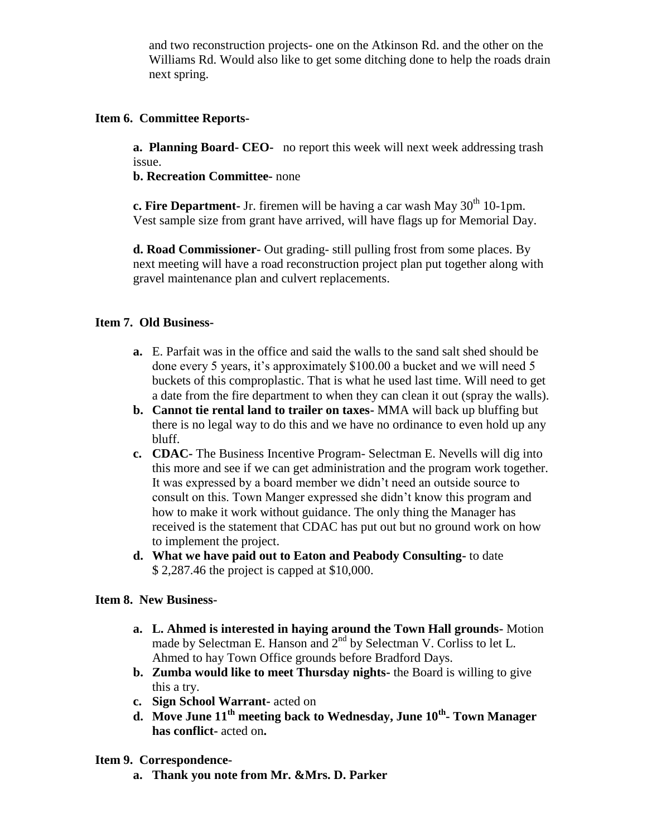and two reconstruction projects- one on the Atkinson Rd. and the other on the Williams Rd. Would also like to get some ditching done to help the roads drain next spring.

# **Item 6. Committee Reports-**

**a. Planning Board- CEO-** no report this week will next week addressing trash issue.

**b. Recreation Committee-** none

**c. Fire Department-** Jr. firemen will be having a car wash May 30<sup>th</sup> 10-1pm. Vest sample size from grant have arrived, will have flags up for Memorial Day.

**d. Road Commissioner-** Out grading- still pulling frost from some places. By next meeting will have a road reconstruction project plan put together along with gravel maintenance plan and culvert replacements.

## **Item 7. Old Business-**

- **a.** E. Parfait was in the office and said the walls to the sand salt shed should be done every 5 years, it's approximately \$100.00 a bucket and we will need 5 buckets of this comproplastic. That is what he used last time. Will need to get a date from the fire department to when they can clean it out (spray the walls).
- **b. Cannot tie rental land to trailer on taxes-** MMA will back up bluffing but there is no legal way to do this and we have no ordinance to even hold up any bluff.
- **c. CDAC-** The Business Incentive Program- Selectman E. Nevells will dig into this more and see if we can get administration and the program work together. It was expressed by a board member we didn't need an outside source to consult on this. Town Manger expressed she didn't know this program and how to make it work without guidance. The only thing the Manager has received is the statement that CDAC has put out but no ground work on how to implement the project.
- **d. What we have paid out to Eaton and Peabody Consulting-** to date \$ 2,287.46 the project is capped at \$10,000.

## **Item 8. New Business-**

- **a. L. Ahmed is interested in haying around the Town Hall grounds-** Motion made by Selectman E. Hanson and 2<sup>nd</sup> by Selectman V. Corliss to let L. Ahmed to hay Town Office grounds before Bradford Days.
- **b. Zumba would like to meet Thursday nights-** the Board is willing to give this a try.
- **c. Sign School Warrant-** acted on
- **d. Move June 11th meeting back to Wednesday, June 10th - Town Manager has conflict-** acted on**.**

## **Item 9. Correspondence-**

**a. Thank you note from Mr. &Mrs. D. Parker**